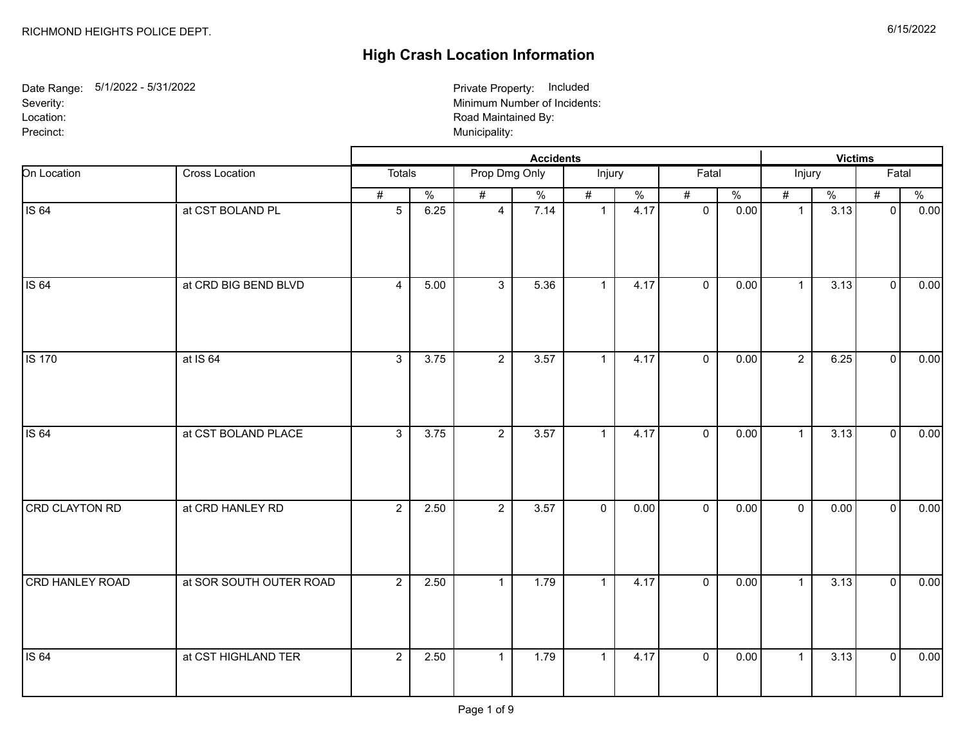## **High Crash Location Information**

Date Range: 5/1/2022 - 5/31/2022 Severity: Location: Precinct: Municipality: 2009 Municipality: 2009 Municipality: 2009 Municipality: 2009 Municipality: 2009 Municipality: 2009 Municipality: 2009 Municipality: 2009 Municipality: 2009 Municipality: 2009 Municipality: 2009 Mun

Minimum Number of Incidents: Road Maintained By: Private Property: Included

|                       |                         |                 |               |                |                  | <b>Victims</b> |      |                |               |                |               |                |               |
|-----------------------|-------------------------|-----------------|---------------|----------------|------------------|----------------|------|----------------|---------------|----------------|---------------|----------------|---------------|
| On Location           | Cross Location          | Totals          |               | Prop Dmg Only  |                  | Injury         |      | Fatal          |               | Injury         |               | Fatal          |               |
|                       |                         | #               | $\frac{0}{6}$ | #              | $\frac{0}{6}$    | #              | $\%$ | #              | $\frac{0}{6}$ | #              | $\frac{0}{6}$ | #              | $\frac{0}{6}$ |
| <b>IS 64</b>          | at CST BOLAND PL        | $5\phantom{.0}$ | 6.25          | $\overline{4}$ | 7.14             | $\mathbf{1}$   | 4.17 | $\mathbf 0$    | 0.00          | $\mathbf{1}$   | 3.13          | $\mathbf 0$    | 0.00          |
| <b>IS 64</b>          | at CRD BIG BEND BLVD    | $\overline{4}$  | 5.00          | $\mathbf{3}$   | 5.36             | $\mathbf{1}$   | 4.17 | $\mathbf{0}$   | 0.00          | $\mathbf{1}$   | 3.13          | $\mathbf 0$    | 0.00          |
| <b>IS 170</b>         | at IS 64                | $\overline{3}$  | 3.75          | $\overline{2}$ | 3.57             | $\mathbf{1}$   | 4.17 | $\mathbf{0}$   | 0.00          | $\overline{2}$ | 6.25          | $\mathbf 0$    | 0.00          |
| <b>IS 64</b>          | at CST BOLAND PLACE     | $\overline{3}$  | 3.75          | $\overline{2}$ | 3.57             | $\mathbf{1}$   | 4.17 | $\mathbf{0}$   | 0.00          | $\mathbf{1}$   | 3.13          | $\mathbf 0$    | 0.00          |
| <b>CRD CLAYTON RD</b> | at CRD HANLEY RD        | $\overline{2}$  | 2.50          | $\overline{2}$ | $\frac{1}{3.57}$ | $\mathbf 0$    | 0.00 | $\mathbf 0$    | 0.00          | $\mathbf 0$    | 0.00          | $\mathbf{0}$   | 0.00          |
| CRD HANLEY ROAD       | at SOR SOUTH OUTER ROAD | $\overline{2}$  | 2.50          | $\mathbf{1}$   | 1.79             | $\overline{1}$ | 4.17 | $\overline{0}$ | 0.00          | $\mathbf{1}$   | 3.13          | $\mathbf 0$    | 0.00          |
| <b>IS 64</b>          | at CST HIGHLAND TER     | $\overline{2}$  | 2.50          | $\mathbf{1}$   | 1.79             | $\mathbf{1}$   | 4.17 | $\mathbf 0$    | 0.00          | $\mathbf{1}$   | 3.13          | $\overline{0}$ | 0.00          |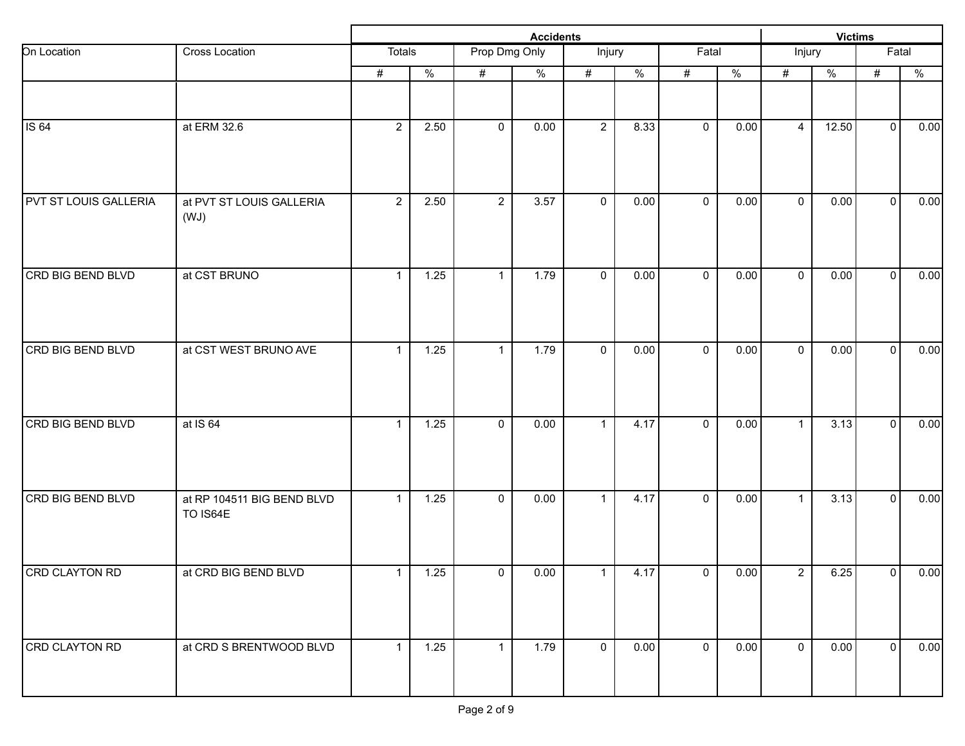|                              |                                        |                |                   |                |               | <b>Victims</b> |                          |              |               |                |               |                |               |
|------------------------------|----------------------------------------|----------------|-------------------|----------------|---------------|----------------|--------------------------|--------------|---------------|----------------|---------------|----------------|---------------|
| On Location                  | Cross Location                         | Totals         |                   | Prop Dmg Only  |               | Injury         |                          | Fatal        |               | Injury         |               | Fatal          |               |
|                              |                                        | #              | $\frac{0}{2}$     | #              | $\frac{9}{6}$ | $\#$           | $\overline{\frac{9}{6}}$ | #            | $\frac{0}{6}$ | #              | $\frac{9}{6}$ | $\#$           | $\frac{0}{2}$ |
|                              |                                        |                |                   |                |               |                |                          |              |               |                |               |                |               |
| <b>IS 64</b>                 | at ERM 32.6                            | $\overline{2}$ | 2.50              | $\mathbf 0$    | 0.00          | $\overline{2}$ | 8.33                     | $\mathbf 0$  | 0.00          | $\overline{4}$ | 12.50         | $\mathbf 0$    | 0.00          |
| <b>PVT ST LOUIS GALLERIA</b> | at PVT ST LOUIS GALLERIA<br>(WJ)       | $\overline{2}$ | 2.50              | $\overline{2}$ | 3.57          | $\mathbf 0$    | 0.00                     | $\mathbf 0$  | 0.00          | $\mathbf 0$    | 0.00          | $\overline{0}$ | 0.00          |
| CRD BIG BEND BLVD            | at CST BRUNO                           | $\mathbf{1}$   | 1.25              | 1              | 1.79          | $\mathbf 0$    | 0.00                     | $\mathbf 0$  | 0.00          | $\mathbf{0}$   | 0.00          | $\overline{0}$ | 0.00          |
| CRD BIG BEND BLVD            | at CST WEST BRUNO AVE                  | $\mathbf{1}$   | 1.25              | 1              | 1.79          | $\mathbf 0$    | 0.00                     | $\mathbf 0$  | 0.00          | $\mathbf 0$    | 0.00          | $\mathbf{0}$   | 0.00          |
| <b>CRD BIG BEND BLVD</b>     | at IS 64                               | $\mathbf{1}$   | 1.25              | 0              | 0.00          | $\mathbf{1}$   | 4.17                     | $\mathbf 0$  | 0.00          | $\mathbf{1}$   | 3.13          | $\mathbf 0$    | 0.00          |
| CRD BIG BEND BLVD            | at RP 104511 BIG BEND BLVD<br>TO IS64E | $\mathbf{1}$   | 1.25              | $\mathbf 0$    | 0.00          | $\mathbf{1}$   | 4.17                     | $\mathbf 0$  | 0.00          | $\mathbf{1}$   | 3.13          | $\mathbf 0$    | 0.00          |
| CRD CLAYTON RD               | at CRD BIG BEND BLVD                   | $\mathbf{1}$   | $1.25$            | $\mathbf 0$    | 0.00          | $\mathbf{1}$   | 4.17                     | $\mathbf 0$  | 0.00          | $\overline{2}$ | 6.25          | 0              | 0.00          |
| <b>CRD CLAYTON RD</b>        | at CRD S BRENTWOOD BLVD                | $\mathbf{1}$   | $\overline{1.25}$ | $\mathbf{1}$   | 1.79          | $\mathbf 0$    | 0.00                     | $\mathbf{0}$ | 0.00          | $\mathbf 0$    | 0.00          | $\overline{0}$ | 0.00          |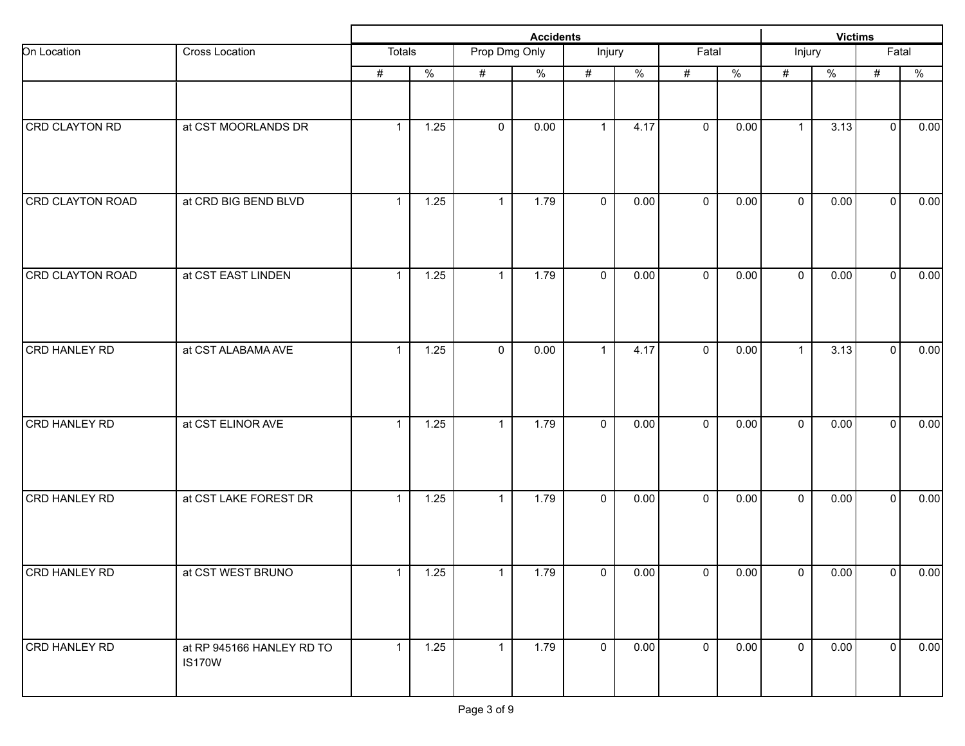|                         |                                            |               |                   | <b>Victims</b> |                          |                     |               |             |               |              |               |                |               |
|-------------------------|--------------------------------------------|---------------|-------------------|----------------|--------------------------|---------------------|---------------|-------------|---------------|--------------|---------------|----------------|---------------|
| On Location             | Cross Location                             | <b>Totals</b> |                   | Prop Dmg Only  |                          | Injury              |               | Fatal       |               | Injury       |               | Fatal          |               |
|                         |                                            | #             | $\frac{0}{2}$     | $\#$           | $\overline{\frac{9}{6}}$ | #                   | $\frac{9}{6}$ | #           | $\frac{0}{6}$ | #            | $\frac{9}{6}$ | $\#$           | $\frac{0}{2}$ |
|                         |                                            |               |                   |                |                          |                     |               |             |               |              |               |                |               |
| CRD CLAYTON RD          | at CST MOORLANDS DR                        | $\mathbf{1}$  | 1.25              | $\mathbf 0$    | 0.00                     | $\mathbf{1}$        | 4.17          | $\mathbf 0$ | 0.00          | $\mathbf{1}$ | 3.13          | $\overline{0}$ | 0.00          |
| <b>CRD CLAYTON ROAD</b> | at CRD BIG BEND BLVD                       | $\mathbf{1}$  | $\overline{1.25}$ | $\mathbf{1}$   | 1.79                     | $\mathbf 0$         | 0.00          | $\mathbf 0$ | 0.00          | $\mathbf 0$  | 0.00          | $\overline{0}$ | 0.00          |
| CRD CLAYTON ROAD        | at CST EAST LINDEN                         | $\mathbf{1}$  | 1.25              | $\mathbf 1$    | 1.79                     | $\mathbf 0$         | 0.00          | $\mathbf 0$ | 0.00          | $\mathbf{0}$ | 0.00          | $\mathbf{0}$   | 0.00          |
| CRD HANLEY RD           | at CST ALABAMA AVE                         | $\mathbf{1}$  | 1.25              | $\mathbf 0$    | 0.00                     | $\mathbf{1}$        | 4.17          | $\mathbf 0$ | 0.00          | $\mathbf{1}$ | 3.13          | $\mathbf{0}$   | 0.00          |
| <b>CRD HANLEY RD</b>    | at CST ELINOR AVE                          | $\mathbf{1}$  | 1.25              | $\mathbf{1}$   | 1.79                     | $\mathsf{O}\xspace$ | 0.00          | $\mathbf 0$ | 0.00          | $\mathbf 0$  | 0.00          | $\mathbf 0$    | 0.00          |
| CRD HANLEY RD           | at CST LAKE FOREST DR                      | $\mathbf{1}$  | 1.25              | $\mathbf{1}$   | 1.79                     | $\mathbf 0$         | 0.00          | $\mathbf 0$ | 0.00          | $\mathbf 0$  | 0.00          | $\mathbf 0$    | 0.00          |
| CRD HANLEY RD           | at CST WEST BRUNO                          | 1             | $1.25$            | 1              | 1.79                     | $\overline{0}$      | 0.00          | $\mathbf 0$ | 0.00          | $\mathbf 0$  | 0.00          | 0              | 0.00          |
| CRD HANLEY RD           | at RP 945166 HANLEY RD TO<br><b>IS170W</b> | $\mathbf{1}$  | $1.25$            | $\mathbf{1}$   | 1.79                     | $\overline{0}$      | 0.00          | $\mathbf 0$ | 0.00          | $\mathbf 0$  | 0.00          | $\mathbf{0}$   | 0.00          |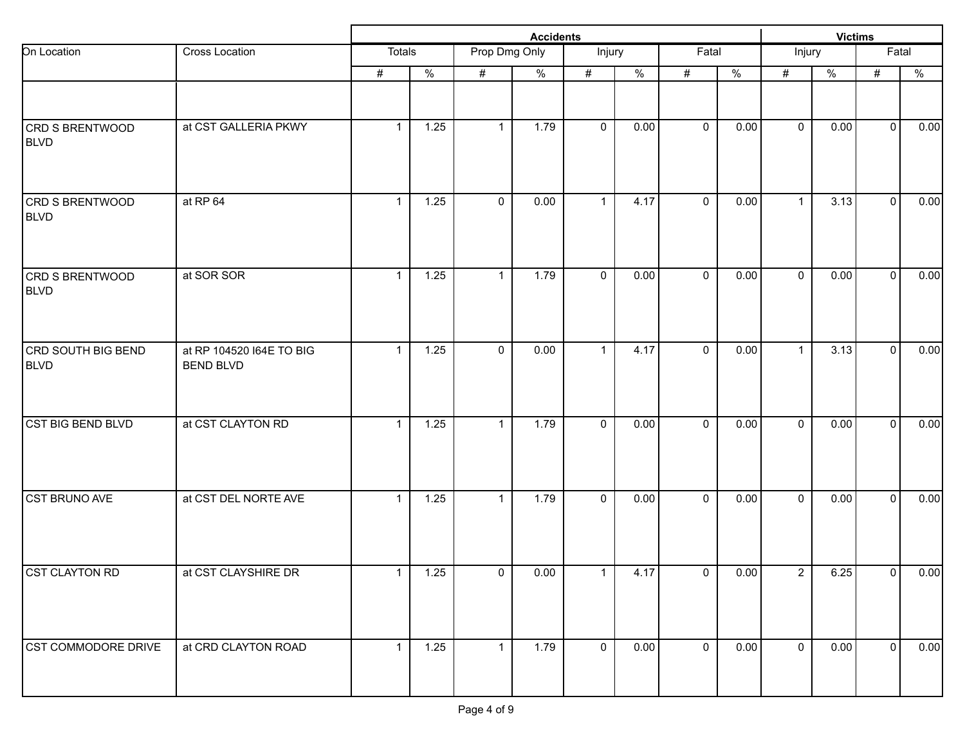|                                   |                                              |              |                          | <b>Victims</b> |      |                |      |             |               |                |      |                |      |
|-----------------------------------|----------------------------------------------|--------------|--------------------------|----------------|------|----------------|------|-------------|---------------|----------------|------|----------------|------|
| On Location                       | Cross Location                               | Totals       |                          | Prop Dmg Only  |      | Injury         |      | Fatal       |               | Injury         |      | Fatal          |      |
|                                   |                                              | #            | $\overline{\frac{9}{6}}$ | #              | $\%$ | $\#$           | $\%$ | #           | $\frac{0}{6}$ | $\#$           | $\%$ | $\#$           | $\%$ |
| CRD S BRENTWOOD<br><b>BLVD</b>    | at CST GALLERIA PKWY                         | $\mathbf{1}$ | 1.25                     | $\mathbf{1}$   | 1.79 | $\mathbf 0$    | 0.00 | $\mathbf 0$ | 0.00          | $\mathbf 0$    | 0.00 | $\overline{0}$ | 0.00 |
| CRD S BRENTWOOD<br><b>BLVD</b>    | at RP 64                                     | $\mathbf{1}$ | 1.25                     | $\mathbf 0$    | 0.00 | $\mathbf{1}$   | 4.17 | $\mathbf 0$ | 0.00          | $\mathbf{1}$   | 3.13 | $\mathbf 0$    | 0.00 |
| CRD S BRENTWOOD<br><b>BLVD</b>    | at SOR SOR                                   | $\mathbf{1}$ | 1.25                     | $\mathbf{1}$   | 1.79 | $\mathbf 0$    | 0.00 | $\mathbf 0$ | 0.00          | $\mathbf{0}$   | 0.00 | $\mathbf 0$    | 0.00 |
| CRD SOUTH BIG BEND<br><b>BLVD</b> | at RP 104520 I64E TO BIG<br><b>BEND BLVD</b> | $\mathbf{1}$ | 1.25                     | $\mathbf 0$    | 0.00 | $\mathbf{1}$   | 4.17 | $\mathbf 0$ | 0.00          | $\mathbf{1}$   | 3.13 | $\mathbf 0$    | 0.00 |
| <b>CST BIG BEND BLVD</b>          | at CST CLAYTON RD                            | $\mathbf{1}$ | 1.25                     | $\mathbf{1}$   | 1.79 | $\mathbf 0$    | 0.00 | $\mathbf 0$ | 0.00          | $\mathbf 0$    | 0.00 | $\mathbf 0$    | 0.00 |
| CST BRUNO AVE                     | at CST DEL NORTE AVE                         | $\mathbf{1}$ | 1.25                     | $\mathbf{1}$   | 1.79 | $\mathbf 0$    | 0.00 | $\mathbf 0$ | 0.00          | $\mathbf 0$    | 0.00 | $\mathbf 0$    | 0.00 |
| <b>CST CLAYTON RD</b>             | at CST CLAYSHIRE DR                          | $\mathbf{1}$ | 1.25                     | $\mathbf 0$    | 0.00 | $\mathbf{1}$   | 4.17 | $\mathbf 0$ | 0.00          | $\overline{2}$ | 6.25 | 0              | 0.00 |
| <b>CST COMMODORE DRIVE</b>        | at CRD CLAYTON ROAD                          | $\mathbf{1}$ | 1.25                     | $\mathbf{1}$   | 1.79 | $\overline{0}$ | 0.00 | $\mathbf 0$ | 0.00          | $\overline{0}$ | 0.00 | $\overline{0}$ | 0.00 |
|                                   |                                              |              |                          |                |      |                |      |             |               |                |      |                |      |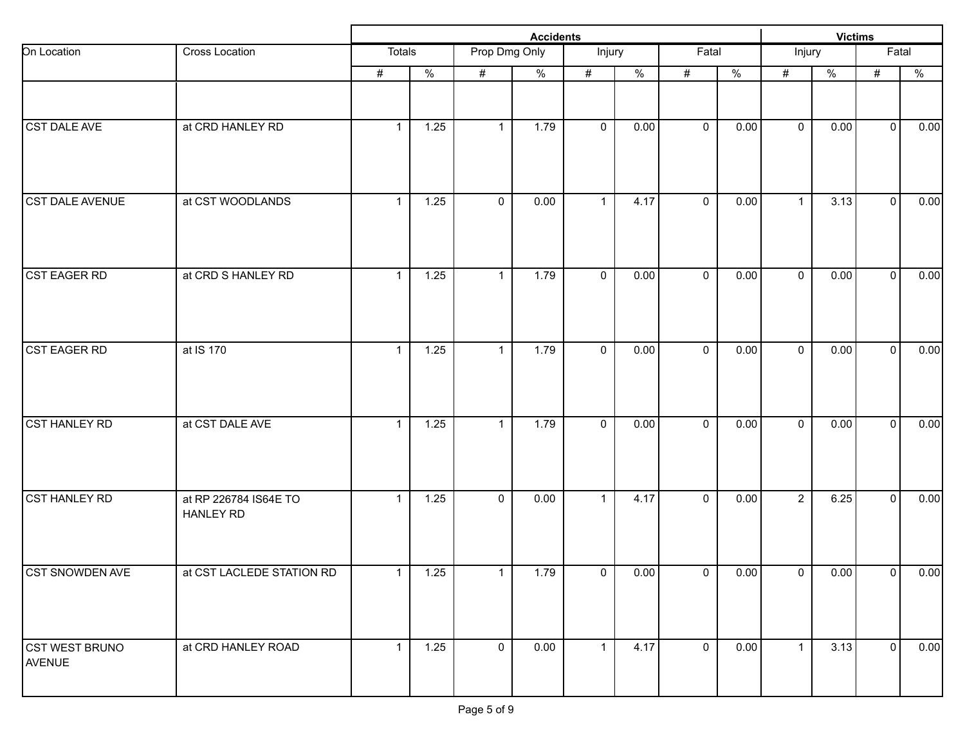|                                 |                                           |              |               |               |               | <b>Victims</b> |                          |              |               |                |               |                |               |
|---------------------------------|-------------------------------------------|--------------|---------------|---------------|---------------|----------------|--------------------------|--------------|---------------|----------------|---------------|----------------|---------------|
| On Location                     | Cross Location                            | Totals       |               | Prop Dmg Only |               | Injury         |                          | Fatal        |               | Injury         |               | Fatal          |               |
|                                 |                                           | #            | $\frac{0}{2}$ | #             | $\frac{9}{6}$ | $\#$           | $\overline{\frac{9}{6}}$ | #            | $\frac{0}{6}$ | #              | $\frac{9}{6}$ | $\#$           | $\frac{0}{2}$ |
|                                 |                                           |              |               |               |               |                |                          |              |               |                |               |                |               |
| CST DALE AVE                    | at CRD HANLEY RD                          | $\mathbf{1}$ | 1.25          | $\mathbf{1}$  | 1.79          | $\mathbf 0$    | 0.00                     | $\mathbf 0$  | 0.00          | $\mathbf 0$    | 0.00          | $\overline{0}$ | 0.00          |
| <b>CST DALE AVENUE</b>          | at CST WOODLANDS                          | $\mathbf{1}$ | 1.25          | $\mathbf 0$   | 0.00          | $\mathbf{1}$   | 4.17                     | $\mathbf 0$  | 0.00          | $\mathbf{1}$   | 3.13          | $\overline{0}$ | 0.00          |
| <b>CST EAGER RD</b>             | at CRD S HANLEY RD                        | $\mathbf{1}$ | 1.25          | 1             | 1.79          | $\mathbf 0$    | 0.00                     | $\mathbf 0$  | 0.00          | $\mathbf{0}$   | 0.00          | $\overline{0}$ | 0.00          |
| <b>CST EAGER RD</b>             | at IS 170                                 | $\mathbf{1}$ | 1.25          | 1             | 1.79          | $\mathbf 0$    | 0.00                     | $\mathbf 0$  | 0.00          | $\mathbf 0$    | 0.00          | $\mathbf{0}$   | 0.00          |
| <b>CST HANLEY RD</b>            | at CST DALE AVE                           | $\mathbf{1}$ | 1.25          | $\mathbf{1}$  | 1.79          | $\mathbf 0$    | 0.00                     | $\mathbf 0$  | 0.00          | $\mathbf 0$    | 0.00          | $\overline{0}$ | 0.00          |
| <b>CST HANLEY RD</b>            | at RP 226784 IS64E TO<br><b>HANLEY RD</b> | $\mathbf{1}$ | 1.25          | $\mathbf{0}$  | 0.00          | $\mathbf{1}$   | 4.17                     | $\mathbf{0}$ | 0.00          | $\overline{2}$ | 6.25          | $\mathbf 0$    | 0.00          |
| CST SNOWDEN AVE                 | at CST LACLEDE STATION RD                 | 1            | $1.25$        | 1             | 1.79          | $\overline{0}$ | 0.00                     | $\mathsf 0$  | 0.00          | $\mathbf 0$    | 0.00          | 0              | 0.00          |
| <b>CST WEST BRUNO</b><br>AVENUE | at CRD HANLEY ROAD                        | $\mathbf{1}$ | $1.25$        | $\mathbf 0$   | 0.00          | $\mathbf{1}$   | 4.17                     | $\mathbf{0}$ | 0.00          | $\mathbf{1}$   | 3.13          | $\overline{0}$ | 0.00          |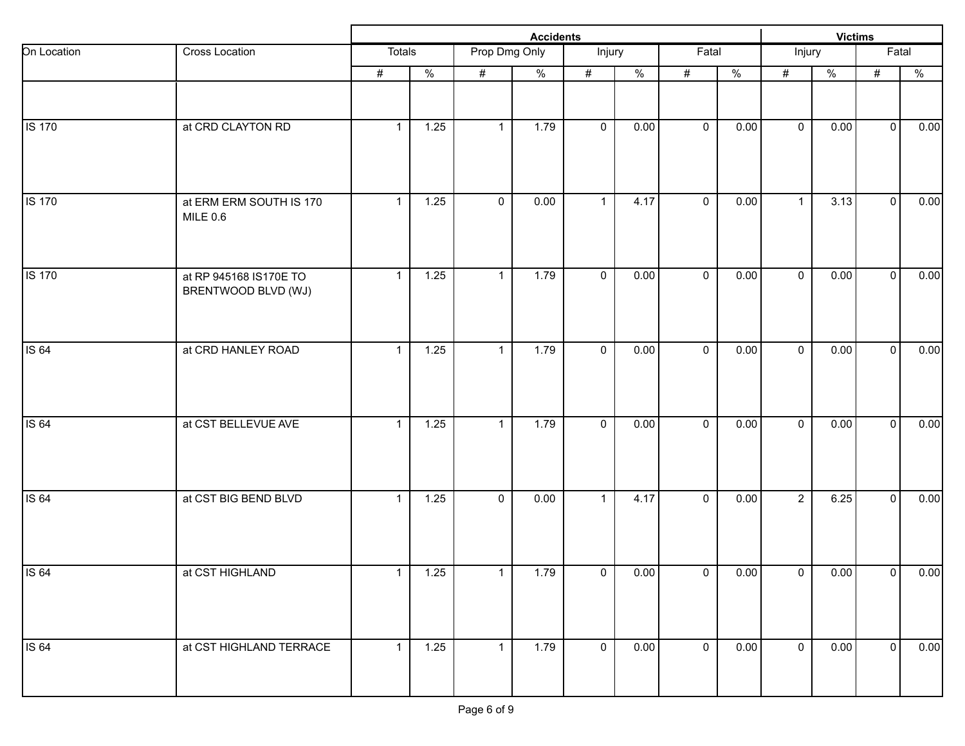|               |                                               |                |               |               |               | <b>Victims</b> |               |                |               |                |               |                |               |
|---------------|-----------------------------------------------|----------------|---------------|---------------|---------------|----------------|---------------|----------------|---------------|----------------|---------------|----------------|---------------|
| On Location   | Cross Location                                | Totals         |               | Prop Dmg Only |               | Injury         |               | Fatal          |               | Injury         |               | Fatal          |               |
|               |                                               | #              | $\frac{0}{2}$ | #             | $\frac{9}{6}$ | $\#$           | $\frac{9}{6}$ | #              | $\frac{0}{2}$ | #              | $\frac{1}{2}$ | $\#$           | $\frac{0}{2}$ |
|               |                                               |                |               |               |               |                |               |                |               |                |               |                |               |
| <b>IS 170</b> | at CRD CLAYTON RD                             | $\overline{1}$ | 1.25          | $\mathbf{1}$  | 1.79          | $\mathbf 0$    | 0.00          | $\mathbf 0$    | 0.00          | $\mathbf 0$    | 0.00          | $\mathbf 0$    | 0.00          |
| <b>IS 170</b> | at ERM ERM SOUTH IS 170<br><b>MILE 0.6</b>    | $\mathbf{1}$   | 1.25          | $\mathbf 0$   | 0.00          | $\mathbf{1}$   | 4.17          | $\mathbf 0$    | 0.00          | $\mathbf{1}$   | 3.13          | $\overline{0}$ | 0.00          |
| <b>IS 170</b> | at RP 945168 IS170E TO<br>BRENTWOOD BLVD (WJ) | $\mathbf{1}$   | 1.25          | $\mathbf{1}$  | 1.79          | $\mathbf 0$    | 0.00          | $\mathbf 0$    | 0.00          | $\mathbf 0$    | 0.00          | $\mathbf 0$    | 0.00          |
| <b>IS 64</b>  | at CRD HANLEY ROAD                            | $\mathbf{1}$   | 1.25          | $\mathbf{1}$  | 1.79          | $\mathbf 0$    | 0.00          | $\mathbf 0$    | 0.00          | $\mathbf 0$    | 0.00          | $\mathbf 0$    | 0.00          |
| <b>IS 64</b>  | at CST BELLEVUE AVE                           | $\overline{1}$ | 1.25          | $\mathbf{1}$  | 1.79          | $\mathbf 0$    | 0.00          | $\mathbf 0$    | 0.00          | $\mathbf 0$    | 0.00          | $\mathbf 0$    | 0.00          |
| <b>IS 64</b>  | at CST BIG BEND BLVD                          | $\mathbf{1}$   | 1.25          | $\mathbf 0$   | 0.00          | $\mathbf{1}$   | 4.17          | $\mathbf 0$    | 0.00          | $\overline{2}$ | 6.25          | $\mathbf 0$    | 0.00          |
| <b>IS 64</b>  | at CST HIGHLAND                               | $\mathbf{1}$   | $1.25$        | 1             | 1.79          | $\mathbf{0}$   | 0.00          | $\mathsf 0$    | 0.00          | $\mathbf 0$    | 0.00          | 0              | 0.00          |
| <b>IS 64</b>  | at CST HIGHLAND TERRACE                       | $\mathbf{1}$   | $1.25$        | $\mathbf{1}$  | 1.79          | $\overline{0}$ | 0.00          | $\overline{0}$ | 0.00          | $\mathbf 0$    | 0.00          | $\overline{0}$ | 0.00          |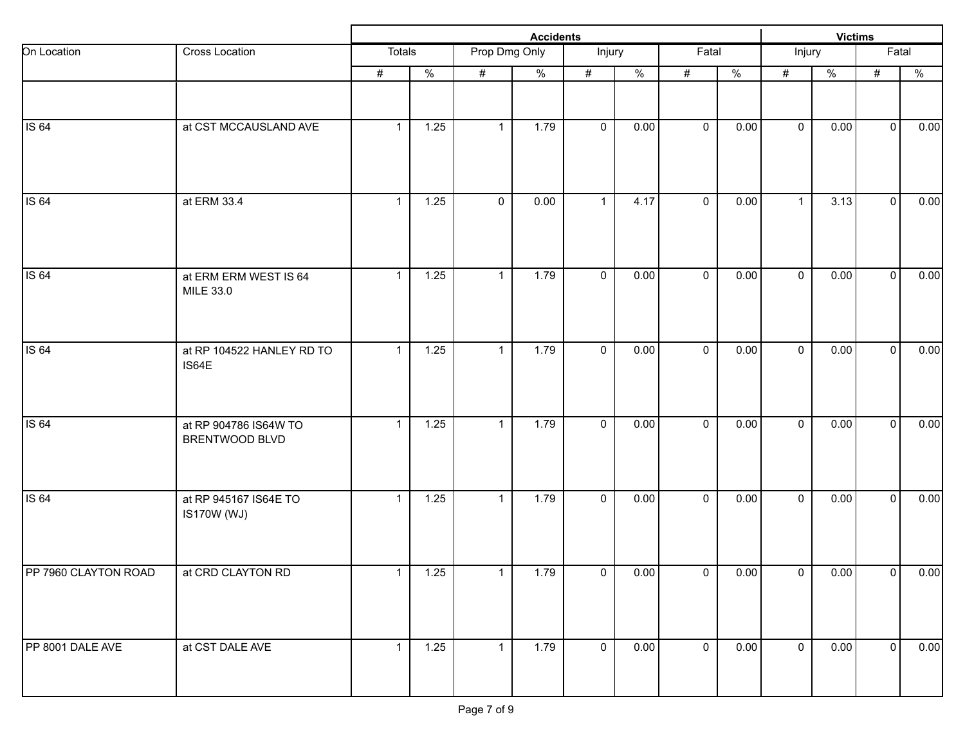|                      |                                             |              |                   |               |               | <b>Victims</b>          |                          |             |               |                |               |                |               |
|----------------------|---------------------------------------------|--------------|-------------------|---------------|---------------|-------------------------|--------------------------|-------------|---------------|----------------|---------------|----------------|---------------|
| On Location          | Cross Location                              | Totals       |                   | Prop Dmg Only |               | Injury                  |                          | Fatal       |               | Injury         |               | Fatal          |               |
|                      |                                             | #            | $\frac{0}{2}$     | #             | $\frac{0}{6}$ | $\#$                    | $\overline{\frac{9}{6}}$ | #           | $\frac{0}{2}$ | #              | $\frac{1}{2}$ | $\#$           | $\frac{0}{2}$ |
|                      |                                             |              |                   |               |               |                         |                          |             |               |                |               |                |               |
| IS 64                | at CST MCCAUSLAND AVE                       | $\mathbf{1}$ | 1.25              | $\mathbf{1}$  | 1.79          | $\mathbf 0$             | 0.00                     | $\mathbf 0$ | 0.00          | $\mathbf 0$    | 0.00          | $\mathbf 0$    | 0.00          |
| <b>IS 64</b>         | at ERM 33.4                                 | $\mathbf{1}$ | 1.25              | $\mathbf 0$   | 0.00          | $\mathbf{1}$            | 4.17                     | $\mathbf 0$ | 0.00          | $\mathbf{1}$   | 3.13          | $\overline{0}$ | 0.00          |
| <b>IS 64</b>         | at ERM ERM WEST IS 64<br>MILE 33.0          | $\mathbf{1}$ | 1.25              | 1             | 1.79          | $\mathbf 0$             | 0.00                     | $\mathbf 0$ | 0.00          | $\mathbf 0$    | 0.00          | $\mathbf 0$    | 0.00          |
| IS 64                | at RP 104522 HANLEY RD TO<br>IS64E          | $\mathbf{1}$ | 1.25              | 1             | 1.79          | $\mathbf 0$             | 0.00                     | $\mathbf 0$ | 0.00          | $\mathbf 0$    | 0.00          | $\mathbf 0$    | 0.00          |
| <b>IS 64</b>         | at RP 904786 IS64W TO<br>BRENTWOOD BLVD     | $\mathbf{1}$ | 1.25              | $\mathbf{1}$  | 1.79          | $\mathbf 0$             | 0.00                     | $\mathbf 0$ | 0.00          | $\mathbf 0$    | 0.00          | $\mathbf 0$    | 0.00          |
| <b>IS 64</b>         | at RP 945167 IS64E TO<br><b>IS170W (WJ)</b> | $\mathbf{1}$ | 1.25              | $\mathbf{1}$  | 1.79          | $\mathbf 0$             | 0.00                     | $\mathbf 0$ | 0.00          | $\mathbf 0$    | 0.00          | $\mathbf 0$    | 0.00          |
| PP 7960 CLAYTON ROAD | at CRD CLAYTON RD                           | $\mathbf 1$  | $1.25$            | $\mathbf{1}$  | 1.79          | $\overline{\mathbf{0}}$ | 0.00                     | $\mathbf 0$ | 0.00          | $\overline{0}$ | 0.00          | 0              | 0.00          |
| PP 8001 DALE AVE     | at CST DALE AVE                             | $\mathbf{1}$ | $\overline{1.25}$ | $\mathbf{1}$  | 1.79          | $\mathbf 0$             | 0.00                     | $\mathbf 0$ | 0.00          | $\mathbf 0$    | 0.00          | $\overline{0}$ | 0.00          |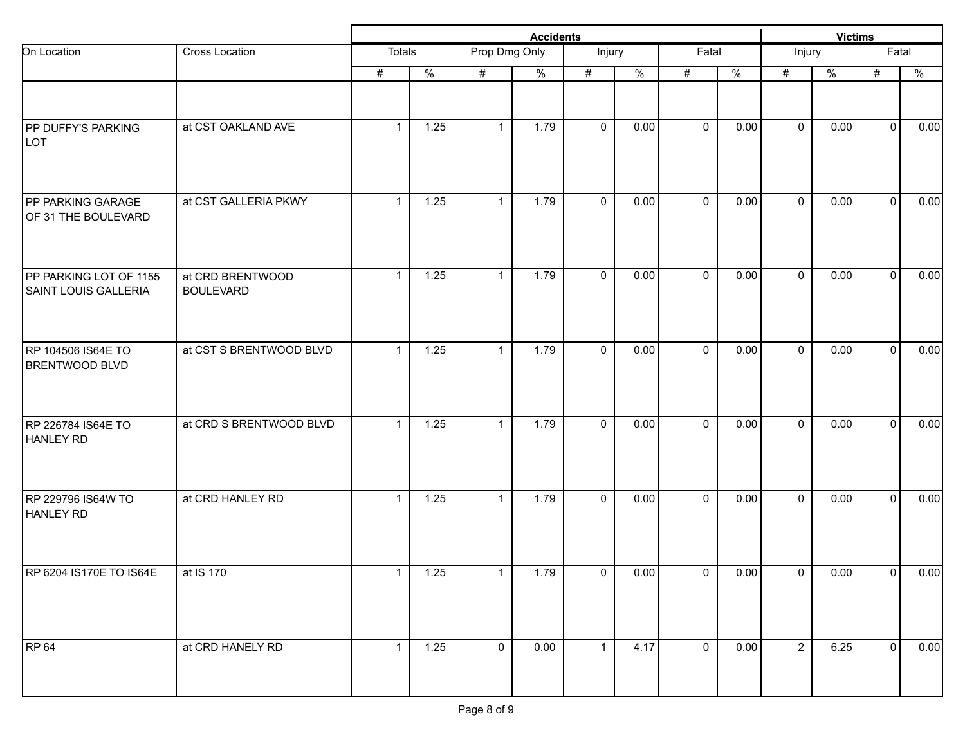| Cross Location<br>at CST OAKLAND AVE | Totals<br>$\#$<br>$\mathbf{1}$ | $\frac{9}{6}$     | Prop Dmg Only<br># | $\%$ | Injury<br>$\#$      | $\%$ | Fatal<br>$\#$  | $\frac{9}{6}$ | Injury         |              | Fatal          |                                                                                |
|--------------------------------------|--------------------------------|-------------------|--------------------|------|---------------------|------|----------------|---------------|----------------|--------------|----------------|--------------------------------------------------------------------------------|
|                                      |                                |                   |                    |      |                     |      |                |               |                |              |                |                                                                                |
|                                      |                                |                   |                    |      |                     |      |                |               | $\#$           | $\%$         | #              | $\%$                                                                           |
|                                      |                                | 1.25              | $\mathbf{1}$       | 1.79 | $\mathbf 0$         | 0.00 | $\mathbf 0$    | 0.00          | $\mathbf 0$    | 0.00         | $\overline{0}$ | 0.00                                                                           |
| at CST GALLERIA PKWY                 | $\mathbf{1}$                   | $\overline{1.25}$ | $\mathbf{1}$       | 1.79 | $\mathbf 0$         | 0.00 | $\mathbf 0$    | 0.00          | $\mathbf 0$    | 0.00         |                | 0.00                                                                           |
| at CRD BRENTWOOD<br><b>BOULEVARD</b> | $\mathbf{1}$                   | 1.25              | $\mathbf{1}$       | 1.79 | $\mathbf 0$         | 0.00 | $\mathbf 0$    | 0.00          | $\mathbf 0$    | 0.00         |                | 0.00                                                                           |
| at CST S BRENTWOOD BLVD              | $\mathbf{1}$                   | 1.25              | 1                  | 1.79 | $\mathbf 0$         | 0.00 | $\mathbf 0$    | 0.00          | $\mathbf 0$    | 0.00         | $\mathbf{0}$   | 0.00                                                                           |
| at CRD S BRENTWOOD BLVD              | $\mathbf{1}$                   | 1.25              | $\mathbf{1}$       | 1.79 | $\mathbf 0$         | 0.00 | $\mathbf 0$    | 0.00          | $\mathbf 0$    | 0.00         | $\mathbf{0}$   | 0.00                                                                           |
| at CRD HANLEY RD                     | $\mathbf{1}$                   | 1.25              | $\mathbf{1}$       | 1.79 | $\mathbf 0$         | 0.00 | $\mathbf{0}$   | 0.00          | $\mathbf 0$    | 0.00         |                | 0.00                                                                           |
| at IS 170                            | 1                              | $1.25$            | 1                  | 1.79 | $\mathsf{O}\xspace$ | 0.00 | $\mathbf 0$    |               | $\mathbf 0$    |              |                | 0.00                                                                           |
| at CRD HANELY RD                     | $\mathbf{1}$                   | $1.25$            | $\mathbf{0}$       | 0.00 | $\mathbf{1}$        | 4.17 | $\overline{0}$ |               | $\overline{2}$ |              |                | 0.00                                                                           |
|                                      |                                |                   |                    |      |                     |      |                |               |                | 0.00<br>0.00 | 6.25           | $\mathbf 0$<br>$\overline{0}$<br>$\mathbf{0}$<br>0.00<br> 0 <br>$\overline{0}$ |